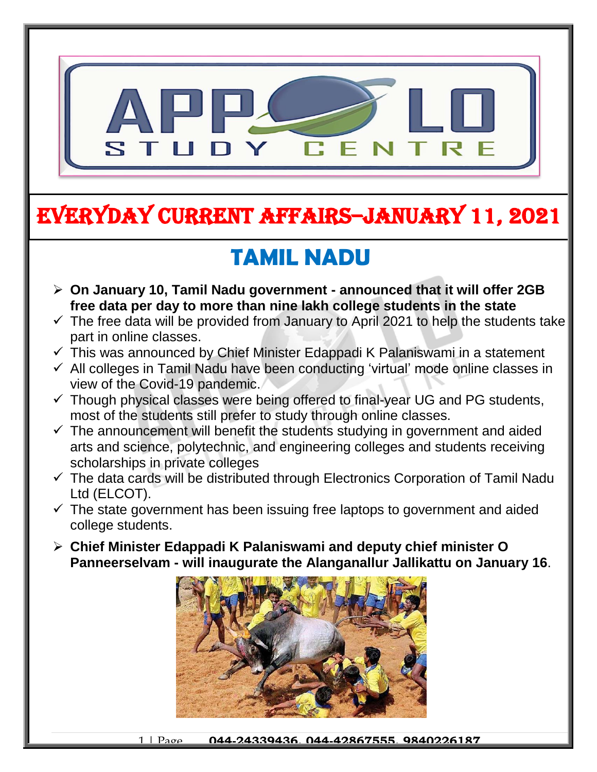

## EVERYDAY CURRENT AFFAIRS–JANUARY 11, 2021

#### **TAMIL NADU** İ

- **On January 10, Tamil Nadu government - announced that it will offer 2GB free data per day to more than nine lakh college students in the state**
- $\checkmark$  The free data will be provided from January to April 2021 to help the students take part in online classes.
- $\checkmark$  This was announced by Chief Minister Edappadi K Palaniswami in a statement
- $\checkmark$  All colleges in Tamil Nadu have been conducting 'virtual' mode online classes in view of the Covid-19 pandemic.
- $\checkmark$  Though physical classes were being offered to final-year UG and PG students, most of the students still prefer to study through online classes.
- $\checkmark$  The announcement will benefit the students studying in government and aided arts and science, polytechnic, and engineering colleges and students receiving scholarships in private colleges
- $\checkmark$  The data cards will be distributed through Electronics Corporation of Tamil Nadu Ltd (ELCOT).
- $\checkmark$  The state government has been issuing free laptops to government and aided college students.
- **Chief Minister Edappadi K Palaniswami and deputy chief minister O Panneerselvam - will inaugurate the Alanganallur Jallikattu on January 16**.

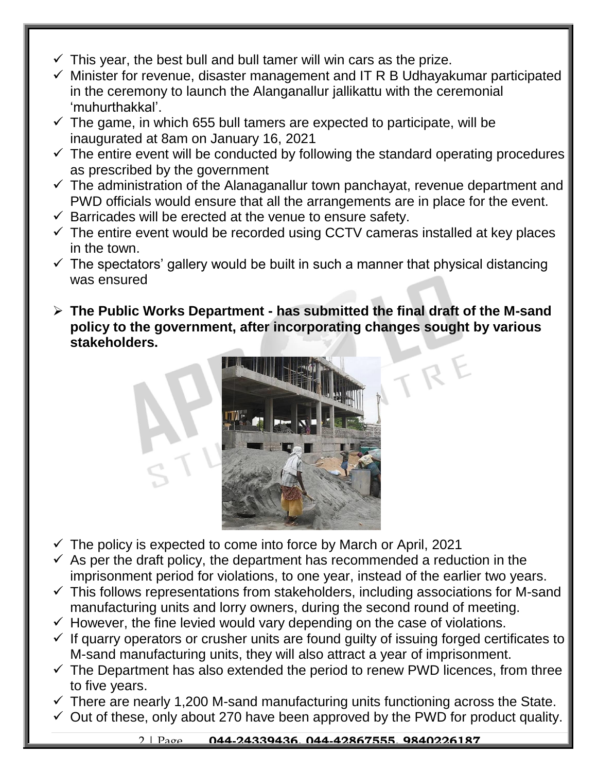- $\checkmark$  This year, the best bull and bull tamer will win cars as the prize.
- $\checkmark$  Minister for revenue, disaster management and IT R B Udhayakumar participated in the ceremony to launch the Alanganallur jallikattu with the ceremonial 'muhurthakkal'.
- $\checkmark$  The game, in which 655 bull tamers are expected to participate, will be inaugurated at 8am on January 16, 2021
- $\checkmark$  The entire event will be conducted by following the standard operating procedures as prescribed by the government
- $\checkmark$  The administration of the Alanaganallur town panchayat, revenue department and PWD officials would ensure that all the arrangements are in place for the event.
- $\checkmark$  Barricades will be erected at the venue to ensure safety.
- $\checkmark$  The entire event would be recorded using CCTV cameras installed at key places in the town.
- $\checkmark$  The spectators' gallery would be built in such a manner that physical distancing was ensured
- **The Public Works Department - has submitted the final draft of the M-sand policy to the government, after incorporating changes sought by various stakeholders.**



- $\checkmark$  The policy is expected to come into force by March or April, 2021
- $\checkmark$  As per the draft policy, the department has recommended a reduction in the imprisonment period for violations, to one year, instead of the earlier two years.
- $\checkmark$  This follows representations from stakeholders, including associations for M-sand manufacturing units and lorry owners, during the second round of meeting.
- $\checkmark$  However, the fine levied would vary depending on the case of violations.
- $\checkmark$  If quarry operators or crusher units are found quilty of issuing forged certificates to M-sand manufacturing units, they will also attract a year of imprisonment.
- $\checkmark$  The Department has also extended the period to renew PWD licences, from three to five years.
- $\checkmark$  There are nearly 1,200 M-sand manufacturing units functioning across the State.
- $\checkmark$  Out of these, only about 270 have been approved by the PWD for product quality.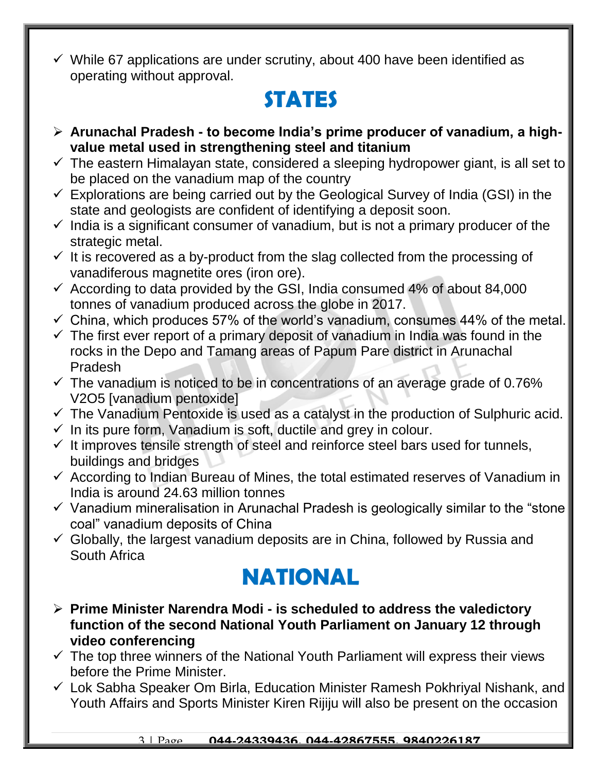$\checkmark$  While 67 applications are under scrutiny, about 400 have been identified as operating without approval.

## **STATES**

- **Arunachal Pradesh - to become India's prime producer of vanadium, a highvalue metal used in strengthening steel and titanium**
- $\checkmark$  The eastern Himalayan state, considered a sleeping hydropower giant, is all set to be placed on the vanadium map of the country
- $\checkmark$  Explorations are being carried out by the Geological Survey of India (GSI) in the state and geologists are confident of identifying a deposit soon.
- $\checkmark$  India is a significant consumer of vanadium, but is not a primary producer of the strategic metal.
- $\checkmark$  It is recovered as a by-product from the slag collected from the processing of vanadiferous magnetite ores (iron ore).
- $\checkmark$  According to data provided by the GSI, India consumed 4% of about 84,000 tonnes of vanadium produced across the globe in 2017.
- $\checkmark$  China, which produces 57% of the world's vanadium, consumes 44% of the metal.
- $\checkmark$  The first ever report of a primary deposit of vanadium in India was found in the rocks in the Depo and Tamang areas of Papum Pare district in Arunachal Pradesh
- $\checkmark$  The vanadium is noticed to be in concentrations of an average grade of 0.76% V2O5 [vanadium pentoxide]
- $\checkmark$  The Vanadium Pentoxide is used as a catalyst in the production of Sulphuric acid.
- $\checkmark$  In its pure form, Vanadium is soft, ductile and grey in colour.
- $\checkmark$  It improves tensile strength of steel and reinforce steel bars used for tunnels, buildings and bridges
- $\checkmark$  According to Indian Bureau of Mines, the total estimated reserves of Vanadium in India is around 24.63 million tonnes
- $\checkmark$  Vanadium mineralisation in Arunachal Pradesh is geologically similar to the "stone" coal" vanadium deposits of China
- $\checkmark$  Globally, the largest vanadium deposits are in China, followed by Russia and South Africa

### **NATIONAL**

- **Prime Minister Narendra Modi - is scheduled to address the valedictory function of the second National Youth Parliament on January 12 through video conferencing**
- $\checkmark$  The top three winners of the National Youth Parliament will express their views before the Prime Minister.
- Lok Sabha Speaker Om Birla, Education Minister Ramesh Pokhriyal Nishank, and Youth Affairs and Sports Minister Kiren Rijiju will also be present on the occasion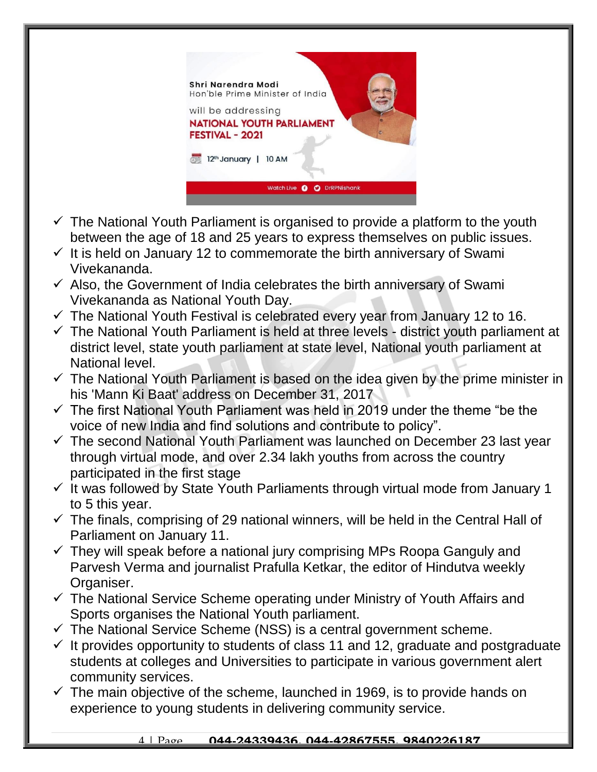

- $\checkmark$  The National Youth Parliament is organised to provide a platform to the youth between the age of 18 and 25 years to express themselves on public issues.
- $\checkmark$  It is held on January 12 to commemorate the birth anniversary of Swami Vivekananda.
- $\checkmark$  Also, the Government of India celebrates the birth anniversary of Swami Vivekananda as National Youth Day.
- $\checkmark$  The National Youth Festival is celebrated every year from January 12 to 16.
- $\checkmark$  The National Youth Parliament is held at three levels district youth parliament at district level, state youth parliament at state level, National youth parliament at National level.
- $\checkmark$  The National Youth Parliament is based on the idea given by the prime minister in his 'Mann Ki Baat' address on December 31, 2017
- $\checkmark$  The first National Youth Parliament was held in 2019 under the theme "be the voice of new India and find solutions and contribute to policy".
- $\checkmark$  The second National Youth Parliament was launched on December 23 last year through virtual mode, and over 2.34 lakh youths from across the country participated in the first stage
- $\checkmark$  It was followed by State Youth Parliaments through virtual mode from January 1 to 5 this year.
- $\checkmark$  The finals, comprising of 29 national winners, will be held in the Central Hall of Parliament on January 11.
- $\checkmark$  They will speak before a national jury comprising MPs Roopa Ganguly and Parvesh Verma and journalist Prafulla Ketkar, the editor of Hindutva weekly Organiser.
- $\checkmark$  The National Service Scheme operating under Ministry of Youth Affairs and Sports organises the National Youth parliament.
- $\checkmark$  The National Service Scheme (NSS) is a central government scheme.
- $\checkmark$  It provides opportunity to students of class 11 and 12, graduate and postgraduate students at colleges and Universities to participate in various government alert community services.
- $\checkmark$  The main objective of the scheme, launched in 1969, is to provide hands on experience to young students in delivering community service.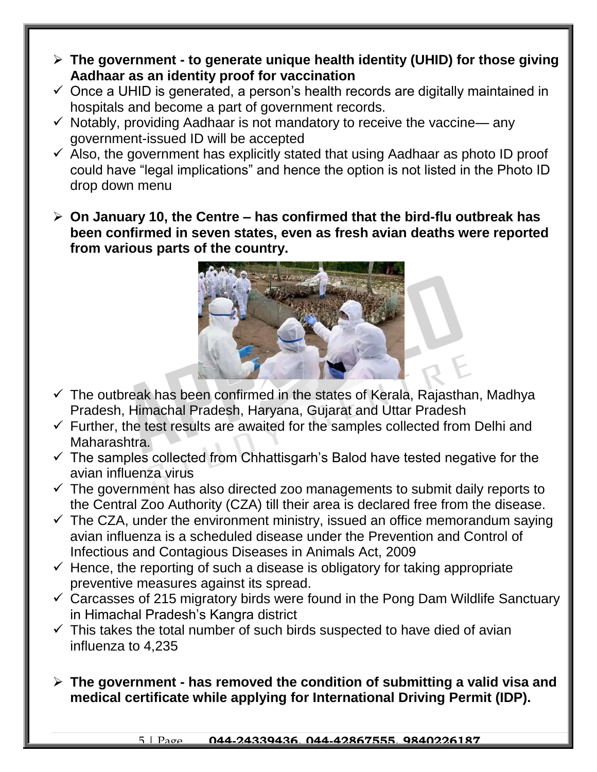- **The government - to generate unique health identity (UHID) for those giving Aadhaar as an identity proof for vaccination**
- $\checkmark$  Once a UHID is generated, a person's health records are digitally maintained in hospitals and become a part of government records.
- $\checkmark$  Notably, providing Aadhaar is not mandatory to receive the vaccine— any government-issued ID will be accepted
- $\checkmark$  Also, the government has explicitly stated that using Aadhaar as photo ID proof could have "legal implications" and hence the option is not listed in the Photo ID drop down menu
- **On January 10, the Centre – has confirmed that the bird-flu outbreak has been confirmed in seven states, even as fresh avian deaths were reported from various parts of the country.**



- $\checkmark$  The outbreak has been confirmed in the states of Kerala, Rajasthan, Madhya Pradesh, Himachal Pradesh, Haryana, Gujarat and Uttar Pradesh
- $\checkmark$  Further, the test results are awaited for the samples collected from Delhi and Maharashtra.
- $\checkmark$  The samples collected from Chhattisgarh's Balod have tested negative for the avian influenza virus
- $\checkmark$  The government has also directed zoo managements to submit daily reports to the Central Zoo Authority (CZA) till their area is declared free from the disease.
- $\checkmark$  The CZA, under the environment ministry, issued an office memorandum saying avian influenza is a scheduled disease under the Prevention and Control of Infectious and Contagious Diseases in Animals Act, 2009
- $\checkmark$  Hence, the reporting of such a disease is obligatory for taking appropriate preventive measures against its spread.
- $\checkmark$  Carcasses of 215 migratory birds were found in the Pong Dam Wildlife Sanctuary in Himachal Pradesh's Kangra district
- $\checkmark$  This takes the total number of such birds suspected to have died of avian influenza to 4,235
- **The government - has removed the condition of submitting a valid visa and medical certificate while applying for International Driving Permit (IDP).**